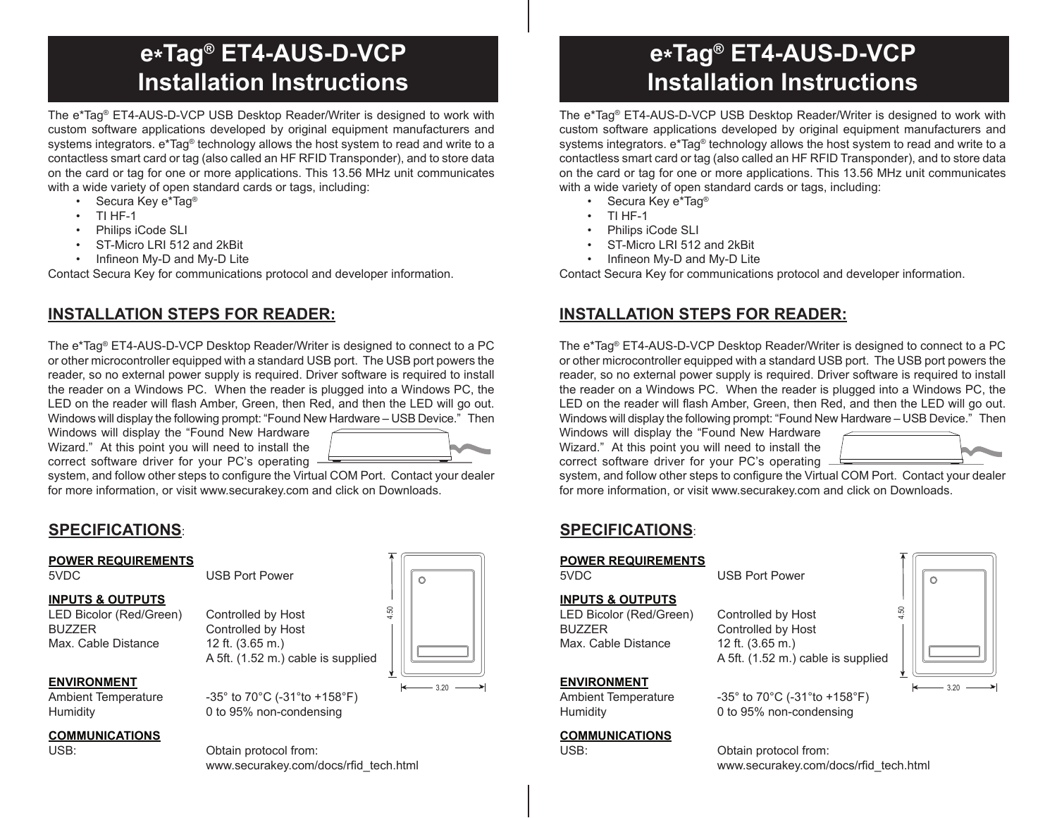# **e\*Tag® ET4-AUS-D-VCP Installation Instructions**

The e\*Tag® ET4-AUS-D-VCP USB Desktop Reader/Writer is designed to work with custom software applications developed by original equipment manufacturers and systems integrators.  $e^*$ Tag<sup>®</sup> technology allows the host system to read and write to a contactless smart card or tag (also called an HF RFID Transponder), and to store data on the card or tag for one or more applications. This 13.56 MHz unit communicates with a wide variety of open standard cards or tags, including:

- Secura Key e\*Tag® •
- TI HF-1 •
- Philips iCode SLI •
- ST-Micro LRI 512 and 2kBit •
- Infineon My-D and My-D Lite •

Contact Secura Key for communications protocol and developer information.

## **INSTALLATION STEPS FOR READER:**

The e\*Tag® ET4-AUS-D-VCP Desktop Reader/Writer is designed to connect to a PC or other microcontroller equipped with a standard USB port. The USB port powers the reader, so no external power supply is required. Driver software is required to install the reader on a Windows PC. When the reader is plugged into a Windows PC, the LED on the reader will flash Amber, Green, then Red, and then the LED will go out. Windows will display the following prompt: "Found New Hardware – USB Device." Then

Windows will display the "Found New Hardware Wizard." At this point you will need to install the correct software driver for your PC's operating



system, and follow other steps to configure the Virtual COM Port. Contact your dealer for more information, or visit www.securakey.com and click on Downloads.

## **SPECIFICATIONS**:

#### **POWER REQUIREMENTS**

5VDC USB Port Power

#### **INPUTS & OUTPUTS**

LED Bicolor (Red/Green) Controlled by Host BUZZER Controlled by Host Max. Cable Distance 12 ft. (3.65 m.)

#### **ENVIRONMENT**

## **COMMUNICATIONS**

A 5ft. (1.52 m.) cable is supplied

Ambient Temperature -35° to 70°C (-31° to +158°F) Humidity 0 to 95% non-condensing

 $\bullet$   $\bullet$   $\bullet$   $\bullet$   $\bullet$   $\bullet$   $\bullet$   $\bullet$ Ó 1.50  $-3.20 -$ 

Obtain protocol from: www.securakey.com/docs/rfid\_tech.html